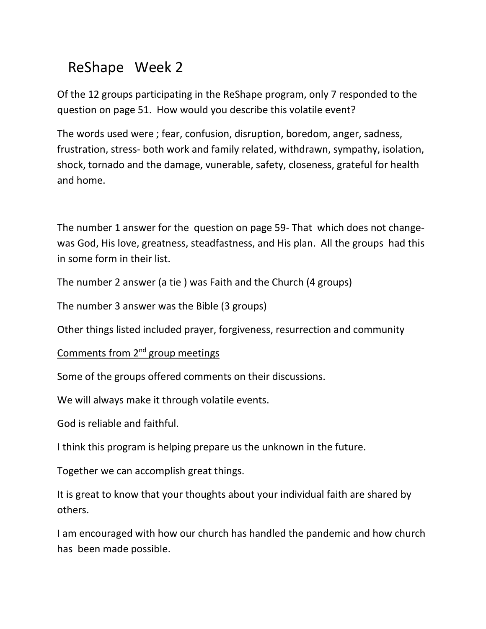## ReShape Week 2

Of the 12 groups participating in the ReShape program, only 7 responded to the question on page 51. How would you describe this volatile event?

The words used were ; fear, confusion, disruption, boredom, anger, sadness, frustration, stress- both work and family related, withdrawn, sympathy, isolation, shock, tornado and the damage, vunerable, safety, closeness, grateful for health and home.

The number 1 answer for the question on page 59- That which does not changewas God, His love, greatness, steadfastness, and His plan. All the groups had this in some form in their list.

The number 2 answer (a tie ) was Faith and the Church (4 groups)

The number 3 answer was the Bible (3 groups)

Other things listed included prayer, forgiveness, resurrection and community

Comments from 2<sup>nd</sup> group meetings

Some of the groups offered comments on their discussions.

We will always make it through volatile events.

God is reliable and faithful.

I think this program is helping prepare us the unknown in the future.

Together we can accomplish great things.

It is great to know that your thoughts about your individual faith are shared by others.

I am encouraged with how our church has handled the pandemic and how church has been made possible.